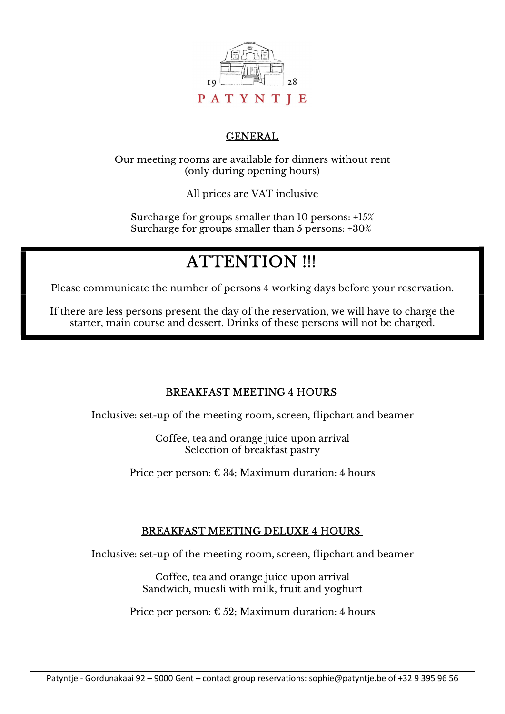

## GENERAL

Our meeting rooms are available for dinners without rent (only during opening hours)

All prices are VAT inclusive

Surcharge for groups smaller than 10 persons: +15% Surcharge for groups smaller than 5 persons: +30%

# **ATTENTION !!!**

Please communicate the number of persons 4 working days before your reservation.

If there are less persons present the day of the reservation, we will have to charge the starter, main course and dessert. Drinks of these persons will not be charged.

## BREAKFAST MEETING 4 HOURS

Inclusive: set-up of the meeting room, screen, flipchart and beamer

Coffee, tea and orange juice upon arrival Selection of breakfast pastry

Price per person:  $\epsilon$  34; Maximum duration: 4 hours

#### BREAKFAST MEETING DELUXE 4 HOURS

Inclusive: set-up of the meeting room, screen, flipchart and beamer

Coffee, tea and orange juice upon arrival Sandwich, muesli with milk, fruit and yoghurt

Price per person:  $\epsilon$  52; Maximum duration: 4 hours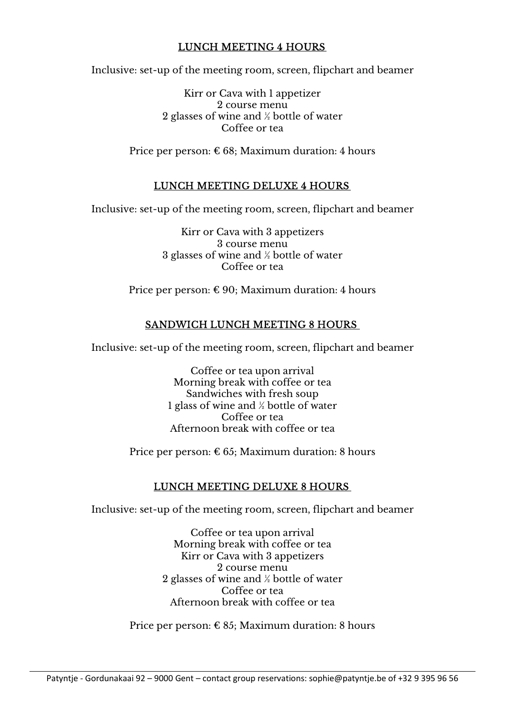## LUNCH MEETING 4 HOURS

Inclusive: set-up of the meeting room, screen, flipchart and beamer

Kirr or Cava with 1 appetizer 2 course menu 2 glasses of wine and ½ bottle of water Coffee or tea

Price per person:  $\epsilon$  68; Maximum duration: 4 hours

#### LUNCH MEETING DELUXE 4 HOURS

Inclusive: set-up of the meeting room, screen, flipchart and beamer

Kirr or Cava with 3 appetizers 3 course menu 3 glasses of wine and ½ bottle of water Coffee or tea

Price per person:  $\epsilon$  90; Maximum duration: 4 hours

## SANDWICH LUNCH MEETING 8 HOURS

Inclusive: set-up of the meeting room, screen, flipchart and beamer

Coffee or tea upon arrival Morning break with coffee or tea Sandwiches with fresh soup 1 glass of wine and ½ bottle of water Coffee or tea Afternoon break with coffee or tea

Price per person:  $\epsilon$  65; Maximum duration: 8 hours

#### LUNCH MEETING DELUXE 8 HOURS

Inclusive: set-up of the meeting room, screen, flipchart and beamer

Coffee or tea upon arrival Morning break with coffee or tea Kirr or Cava with 3 appetizers 2 course menu 2 glasses of wine and ½ bottle of water Coffee or tea Afternoon break with coffee or tea

Price per person:  $\epsilon$  85; Maximum duration: 8 hours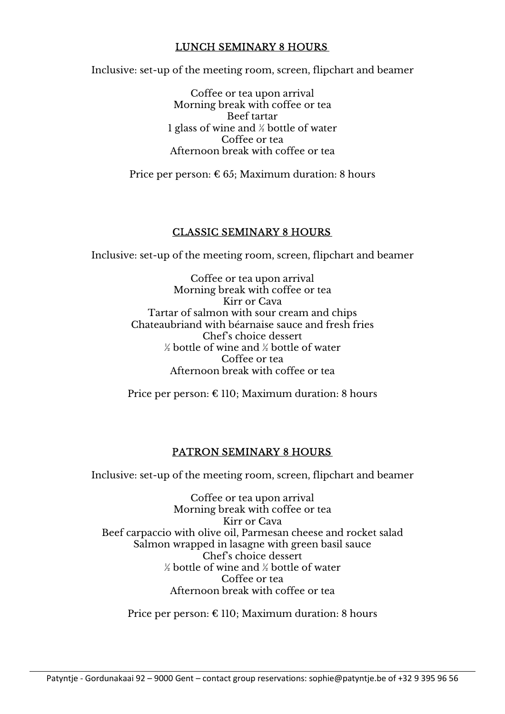#### LUNCH SEMINARY 8 HOURS

Inclusive: set-up of the meeting room, screen, flipchart and beamer

Coffee or tea upon arrival Morning break with coffee or tea Beef tartar 1 glass of wine and ½ bottle of water Coffee or tea Afternoon break with coffee or tea

Price per person:  $\epsilon$  65; Maximum duration: 8 hours

#### CLASSIC SEMINARY 8 HOURS

Inclusive: set-up of the meeting room, screen, flipchart and beamer

Coffee or tea upon arrival Morning break with coffee or tea Kirr or Cava Tartar of salmon with sour cream and chips Chateaubriand with béarnaise sauce and fresh fries Chef's choice dessert ½ bottle of wine and ½ bottle of water Coffee or tea Afternoon break with coffee or tea

Price per person:  $\epsilon$  110; Maximum duration: 8 hours

#### PATRON SEMINARY 8 HOURS

Inclusive: set-up of the meeting room, screen, flipchart and beamer

Coffee or tea upon arrival Morning break with coffee or tea Kirr or Cava Beef carpaccio with olive oil, Parmesan cheese and rocket salad Salmon wrapped in lasagne with green basil sauce Chef's choice dessert  $\frac{1}{2}$  bottle of wine and  $\frac{1}{2}$  bottle of water Coffee or tea Afternoon break with coffee or tea

Price per person:  $\epsilon$  110; Maximum duration: 8 hours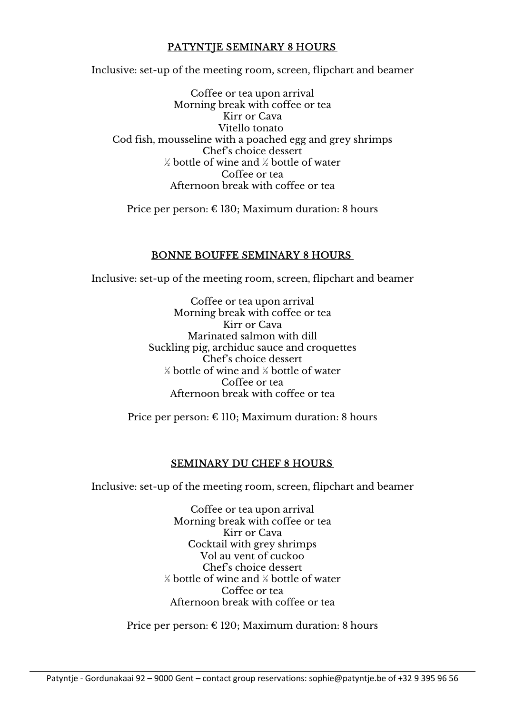## PATYNTIE SEMINARY 8 HOURS

Inclusive: set-up of the meeting room, screen, flipchart and beamer

Coffee or tea upon arrival Morning break with coffee or tea Kirr or Cava Vitello tonato Cod fish, mousseline with a poached egg and grey shrimps Chef's choice dessert  $\frac{1}{2}$  bottle of wine and  $\frac{1}{2}$  bottle of water Coffee or tea Afternoon break with coffee or tea

Price per person: € 130; Maximum duration: 8 hours

#### BONNE BOUFFE SEMINARY 8 HOURS

Inclusive: set-up of the meeting room, screen, flipchart and beamer

Coffee or tea upon arrival Morning break with coffee or tea Kirr or Cava Marinated salmon with dill Suckling pig, archiduc sauce and croquettes Chef's choice dessert ½ bottle of wine and ½ bottle of water Coffee or tea Afternoon break with coffee or tea

Price per person:  $\epsilon$  110; Maximum duration: 8 hours

#### SEMINARY DU CHEF 8 HOURS

Inclusive: set-up of the meeting room, screen, flipchart and beamer

Coffee or tea upon arrival Morning break with coffee or tea Kirr or Cava Cocktail with grey shrimps Vol au vent of cuckoo Chef's choice dessert ½ bottle of wine and ½ bottle of water Coffee or tea Afternoon break with coffee or tea

Price per person: € 120; Maximum duration: 8 hours